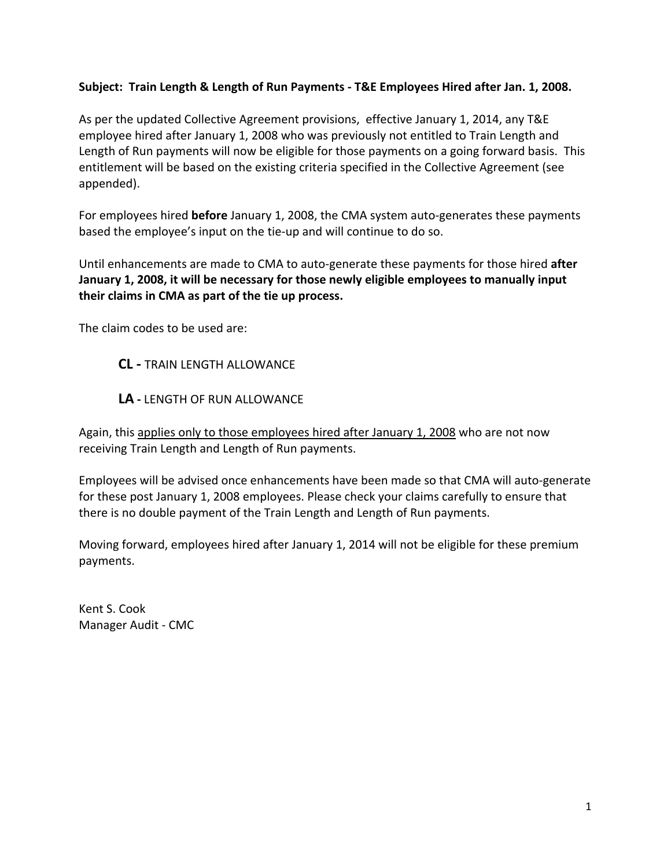## **Subject: Train Length & Length of Run Payments ‐ T&E Employees Hired after Jan. 1, 2008.**

As per the updated Collective Agreement provisions, effective January 1, 2014, any T&E employee hired after January 1, 2008 who was previously not entitled to Train Length and Length of Run payments will now be eligible for those payments on a going forward basis. This entitlement will be based on the existing criteria specified in the Collective Agreement (see appended).

For employees hired **before** January 1, 2008, the CMA system auto-generates these payments based the employee's input on the tie‐up and will continue to do so.

Until enhancements are made to CMA to auto‐generate these payments for those hired **after January 1, 2008, it will be necessary for those newly eligible employees to manually input their claims in CMA as part of the tie up process.**

The claim codes to be used are:

**CL ‐** TRAIN LENGTH ALLOWANCE

**LA ‐** LENGTH OF RUN ALLOWANCE

Again, this applies only to those employees hired after January 1, 2008 who are not now receiving Train Length and Length of Run payments.

Employees will be advised once enhancements have been made so that CMA will auto‐generate for these post January 1, 2008 employees. Please check your claims carefully to ensure that there is no double payment of the Train Length and Length of Run payments.

Moving forward, employees hired after January 1, 2014 will not be eligible for these premium payments.

Kent S. Cook Manager Audit ‐ CMC